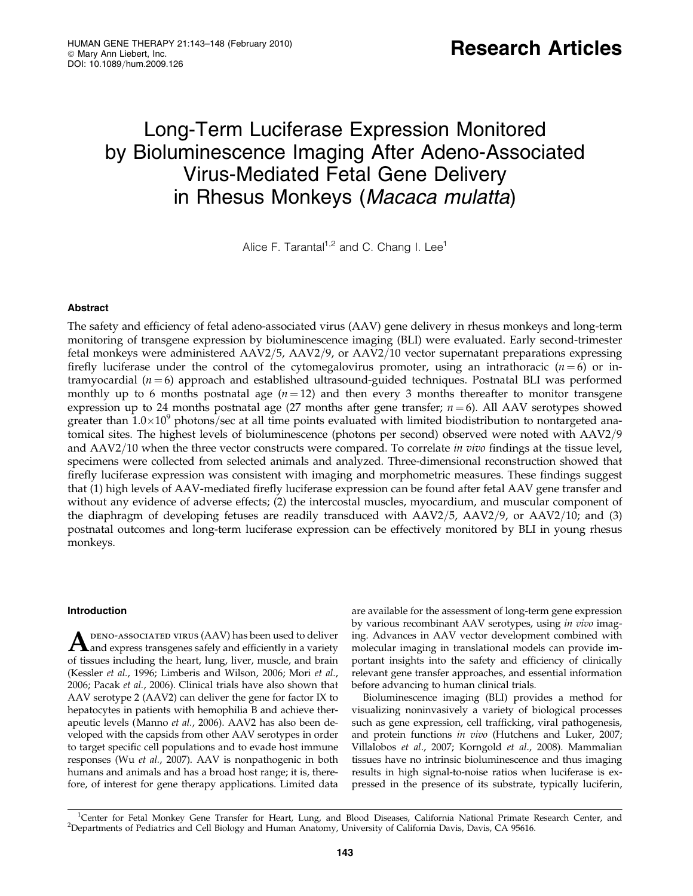# Long-Term Luciferase Expression Monitored by Bioluminescence Imaging After Adeno-Associated Virus-Mediated Fetal Gene Delivery in Rhesus Monkeys (Macaca mulatta)

Alice F. Tarantal<sup>1,2</sup> and C. Chang I. Lee<sup>1</sup>

# Abstract

The safety and efficiency of fetal adeno-associated virus (AAV) gene delivery in rhesus monkeys and long-term monitoring of transgene expression by bioluminescence imaging (BLI) were evaluated. Early second-trimester fetal monkeys were administered  $AAV2/5$ ,  $AAV2/9$ , or  $AAV2/10$  vector supernatant preparations expressing firefly luciferase under the control of the cytomegalovirus promoter, using an intrathoracic  $(n=6)$  or intramyocardial ( $n = 6$ ) approach and established ultrasound-guided techniques. Postnatal BLI was performed monthly up to 6 months postnatal age  $(n = 12)$  and then every 3 months thereafter to monitor transgene expression up to 24 months postnatal age (27 months after gene transfer;  $n = 6$ ). All AAV serotypes showed greater than  $1.0\times10^9$  photons/sec at all time points evaluated with limited biodistribution to nontargeted anatomical sites. The highest levels of bioluminescence (photons per second) observed were noted with AAV2/9 and AAV2/10 when the three vector constructs were compared. To correlate in vivo findings at the tissue level, specimens were collected from selected animals and analyzed. Three-dimensional reconstruction showed that firefly luciferase expression was consistent with imaging and morphometric measures. These findings suggest that (1) high levels of AAV-mediated firefly luciferase expression can be found after fetal AAV gene transfer and without any evidence of adverse effects; (2) the intercostal muscles, myocardium, and muscular component of the diaphragm of developing fetuses are readily transduced with  $AAV2/5$ ,  $AAV2/9$ , or  $AAV2/10$ ; and (3) postnatal outcomes and long-term luciferase expression can be effectively monitored by BLI in young rhesus monkeys.

# Introduction

A DENO-ASSOCIATED VIRUS (AAV) has been used to deliver<br>and express transgenes safely and efficiently in a variety of tissues including the heart, lung, liver, muscle, and brain (Kessler et al., 1996; Limberis and Wilson, 2006; Mori et al., 2006; Pacak et al., 2006). Clinical trials have also shown that AAV serotype 2 (AAV2) can deliver the gene for factor IX to hepatocytes in patients with hemophilia B and achieve therapeutic levels (Manno et al., 2006). AAV2 has also been developed with the capsids from other AAV serotypes in order to target specific cell populations and to evade host immune responses (Wu et al., 2007). AAV is nonpathogenic in both humans and animals and has a broad host range; it is, therefore, of interest for gene therapy applications. Limited data

are available for the assessment of long-term gene expression by various recombinant AAV serotypes, using in vivo imaging. Advances in AAV vector development combined with molecular imaging in translational models can provide important insights into the safety and efficiency of clinically relevant gene transfer approaches, and essential information before advancing to human clinical trials.

Bioluminescence imaging (BLI) provides a method for visualizing noninvasively a variety of biological processes such as gene expression, cell trafficking, viral pathogenesis, and protein functions in vivo (Hutchens and Luker, 2007; Villalobos et al., 2007; Korngold et al., 2008). Mammalian tissues have no intrinsic bioluminescence and thus imaging results in high signal-to-noise ratios when luciferase is expressed in the presence of its substrate, typically luciferin,

<sup>1</sup>Center for Fetal Monkey Gene Transfer for Heart, Lung, and Blood Diseases, California National Primate Research Center, and<br><sup>2</sup>Departments of Pediatrics and Cell Biology and Human Anatomy University of California Davis Departments of Pediatrics and Cell Biology and Human Anatomy, University of California Davis, Davis, CA 95616.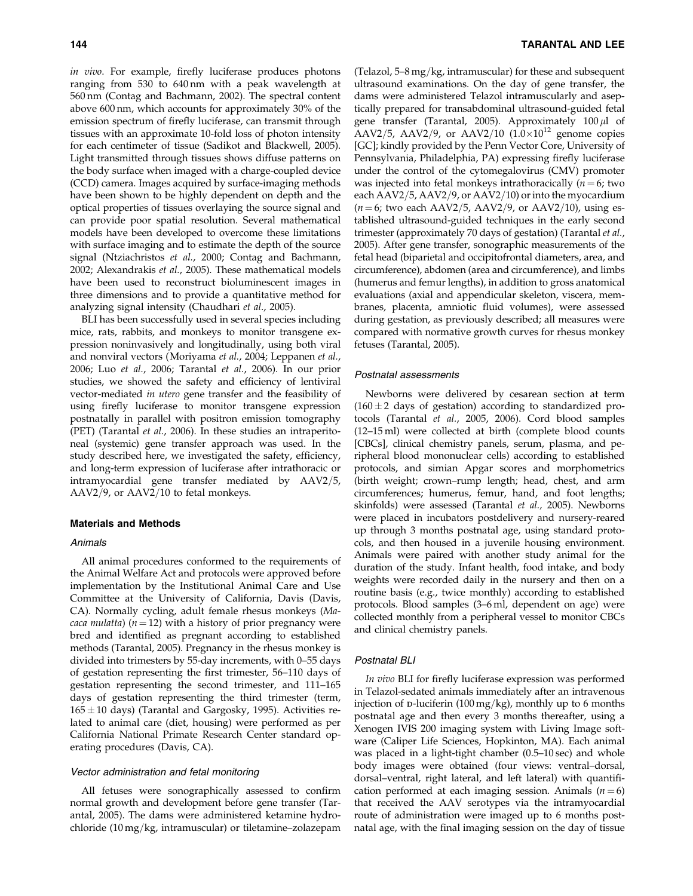in vivo. For example, firefly luciferase produces photons ranging from 530 to 640 nm with a peak wavelength at 560 nm (Contag and Bachmann, 2002). The spectral content above 600 nm, which accounts for approximately 30% of the emission spectrum of firefly luciferase, can transmit through tissues with an approximate 10-fold loss of photon intensity for each centimeter of tissue (Sadikot and Blackwell, 2005). Light transmitted through tissues shows diffuse patterns on the body surface when imaged with a charge-coupled device (CCD) camera. Images acquired by surface-imaging methods have been shown to be highly dependent on depth and the optical properties of tissues overlaying the source signal and can provide poor spatial resolution. Several mathematical models have been developed to overcome these limitations with surface imaging and to estimate the depth of the source signal (Ntziachristos et al., 2000; Contag and Bachmann, 2002; Alexandrakis et al., 2005). These mathematical models have been used to reconstruct bioluminescent images in three dimensions and to provide a quantitative method for analyzing signal intensity (Chaudhari et al., 2005).

BLI has been successfully used in several species including mice, rats, rabbits, and monkeys to monitor transgene expression noninvasively and longitudinally, using both viral and nonviral vectors (Moriyama et al., 2004; Leppanen et al., 2006; Luo et al., 2006; Tarantal et al., 2006). In our prior studies, we showed the safety and efficiency of lentiviral vector-mediated in utero gene transfer and the feasibility of using firefly luciferase to monitor transgene expression postnatally in parallel with positron emission tomography (PET) (Tarantal et al., 2006). In these studies an intraperitoneal (systemic) gene transfer approach was used. In the study described here, we investigated the safety, efficiency, and long-term expression of luciferase after intrathoracic or intramyocardial gene transfer mediated by AAV2/5, AAV2/9, or AAV2/10 to fetal monkeys.

## Materials and Methods

#### Animals

All animal procedures conformed to the requirements of the Animal Welfare Act and protocols were approved before implementation by the Institutional Animal Care and Use Committee at the University of California, Davis (Davis, CA). Normally cycling, adult female rhesus monkeys (Ma*caca mulatta*) ( $n = 12$ ) with a history of prior pregnancy were bred and identified as pregnant according to established methods (Tarantal, 2005). Pregnancy in the rhesus monkey is divided into trimesters by 55-day increments, with 0–55 days of gestation representing the first trimester, 56–110 days of gestation representing the second trimester, and 111–165 days of gestation representing the third trimester (term, 165 $\pm$ 10 days) (Tarantal and Gargosky, 1995). Activities related to animal care (diet, housing) were performed as per California National Primate Research Center standard operating procedures (Davis, CA).

#### Vector administration and fetal monitoring

All fetuses were sonographically assessed to confirm normal growth and development before gene transfer (Tarantal, 2005). The dams were administered ketamine hydrochloride  $(10 \text{ mg/kg})$ , intramuscular) or tiletamine–zolazepam (Telazol,  $5-8$  mg/kg, intramuscular) for these and subsequent ultrasound examinations. On the day of gene transfer, the dams were administered Telazol intramuscularly and aseptically prepared for transabdominal ultrasound-guided fetal gene transfer (Tarantal, 2005). Approximately  $100 \mu l$  of AAV2/5, AAV2/9, or AAV2/10  $(1.0\times10^{12}$  genome copies [GC]; kindly provided by the Penn Vector Core, University of Pennsylvania, Philadelphia, PA) expressing firefly luciferase under the control of the cytomegalovirus (CMV) promoter was injected into fetal monkeys intrathoracically  $(n = 6;$  two each AAV2/5, AAV2/9, or AAV2/10) or into the myocardium  $(n=6;$  two each AAV2/5, AAV2/9, or AAV2/10), using established ultrasound-guided techniques in the early second trimester (approximately 70 days of gestation) (Tarantal et al., 2005). After gene transfer, sonographic measurements of the fetal head (biparietal and occipitofrontal diameters, area, and circumference), abdomen (area and circumference), and limbs (humerus and femur lengths), in addition to gross anatomical evaluations (axial and appendicular skeleton, viscera, membranes, placenta, amniotic fluid volumes), were assessed during gestation, as previously described; all measures were compared with normative growth curves for rhesus monkey fetuses (Tarantal, 2005).

## Postnatal assessments

Newborns were delivered by cesarean section at term  $(160 \pm 2)$  days of gestation) according to standardized protocols (Tarantal et al., 2005, 2006). Cord blood samples (12–15 ml) were collected at birth (complete blood counts [CBCs], clinical chemistry panels, serum, plasma, and peripheral blood mononuclear cells) according to established protocols, and simian Apgar scores and morphometrics (birth weight; crown–rump length; head, chest, and arm circumferences; humerus, femur, hand, and foot lengths; skinfolds) were assessed (Tarantal et al., 2005). Newborns were placed in incubators postdelivery and nursery-reared up through 3 months postnatal age, using standard protocols, and then housed in a juvenile housing environment. Animals were paired with another study animal for the duration of the study. Infant health, food intake, and body weights were recorded daily in the nursery and then on a routine basis (e.g., twice monthly) according to established protocols. Blood samples (3–6 ml, dependent on age) were collected monthly from a peripheral vessel to monitor CBCs and clinical chemistry panels.

#### Postnatal BLI

In vivo BLI for firefly luciferase expression was performed in Telazol-sedated animals immediately after an intravenous injection of p-luciferin (100 mg/kg), monthly up to 6 months postnatal age and then every 3 months thereafter, using a Xenogen IVIS 200 imaging system with Living Image software (Caliper Life Sciences, Hopkinton, MA). Each animal was placed in a light-tight chamber (0.5–10 sec) and whole body images were obtained (four views: ventral–dorsal, dorsal–ventral, right lateral, and left lateral) with quantification performed at each imaging session. Animals  $(n = 6)$ that received the AAV serotypes via the intramyocardial route of administration were imaged up to 6 months postnatal age, with the final imaging session on the day of tissue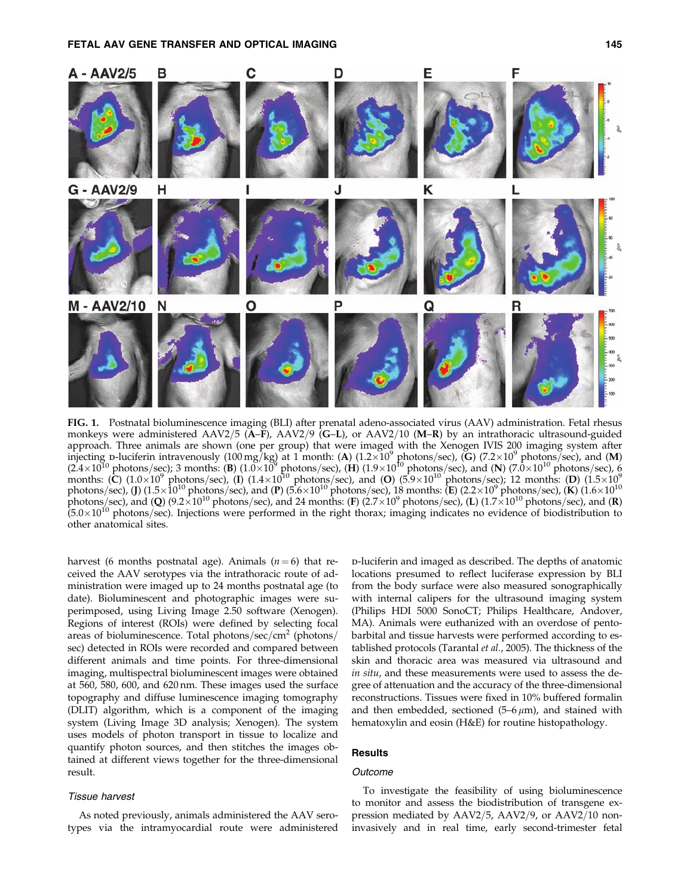



FIG. 1. Postnatal bioluminescence imaging (BLI) after prenatal adeno-associated virus (AAV) administration. Fetal rhesus monkeys were administered AAV2/5 (A–F), AAV2/9 (G–L), or AAV2/10 (M–R) by an intrathoracic ultrasound-guided approach. Three animals are shown (one per group) that were imaged with the Xenogen IVIS 200 imaging system after injecting p-luciferin intravenously (100 mg/kg) at 1 month: (A)  $(1.2\times10^9$  photons/sec), (G)  $(7.2\times10^9$  photons/sec), and (M) (2.4×10<sup>10</sup> photons/sec); 3 months: (B) (1.0×10<sup>9</sup> photons/sec), (H) (1.9×10<sup>10</sup> photons/sec), and (N) (7.0×10<sup>10</sup> photons/sec), 6 months: (C)  $(1.0\times10^9$  photons/sec), (I)  $(1.4\times10^{10}$  photons/sec), and (O)  $(5.9\times10^{10}$  photons/sec); 12 months: (D)  $(1.5\times10^9$ photons/sec), (J) (1.5 $\times10^{10}$  photons/sec), and (P) (5.6 $\times10^{10}$  photons/sec), 18 months: (E) (2.2 $\times10^{9}$  photons/sec), (K) (1.6 $\times10^{10}$ photons/sec), and (Q) (9.2 $\times10^{10}$  photons/sec), and 24 months: (F) (2.7 $\times10^9$  photons/sec), (L) (1.7 $\times10^{10}$  photons/sec), and (R)  $(5.0\times10^{10}$  photons/sec). Injections were performed in the right thorax; imaging indicates no evidence of biodistribution to other anatomical sites.

harvest (6 months postnatal age). Animals ( $n = 6$ ) that received the AAV serotypes via the intrathoracic route of administration were imaged up to 24 months postnatal age (to date). Bioluminescent and photographic images were superimposed, using Living Image 2.50 software (Xenogen). Regions of interest (ROIs) were defined by selecting focal areas of bioluminescence. Total photons/sec/cm<sup>2</sup> (photons/ sec) detected in ROIs were recorded and compared between different animals and time points. For three-dimensional imaging, multispectral bioluminescent images were obtained at 560, 580, 600, and 620 nm. These images used the surface topography and diffuse luminescence imaging tomography (DLIT) algorithm, which is a component of the imaging system (Living Image 3D analysis; Xenogen). The system uses models of photon transport in tissue to localize and quantify photon sources, and then stitches the images obtained at different views together for the three-dimensional result.

## Tissue harvest

As noted previously, animals administered the AAV serotypes via the intramyocardial route were administered

d-luciferin and imaged as described. The depths of anatomic locations presumed to reflect luciferase expression by BLI from the body surface were also measured sonographically with internal calipers for the ultrasound imaging system (Philips HDI 5000 SonoCT; Philips Healthcare, Andover, MA). Animals were euthanized with an overdose of pentobarbital and tissue harvests were performed according to established protocols (Tarantal et al., 2005). The thickness of the skin and thoracic area was measured via ultrasound and in situ, and these measurements were used to assess the degree of attenuation and the accuracy of the three-dimensional reconstructions. Tissues were fixed in 10% buffered formalin and then embedded, sectioned  $(5-6 \mu m)$ , and stained with hematoxylin and eosin (H&E) for routine histopathology.

# **Results**

# **Outcome**

To investigate the feasibility of using bioluminescence to monitor and assess the biodistribution of transgene expression mediated by  $AAV2/5$ ,  $AAV2/9$ , or  $AAV2/10$  noninvasively and in real time, early second-trimester fetal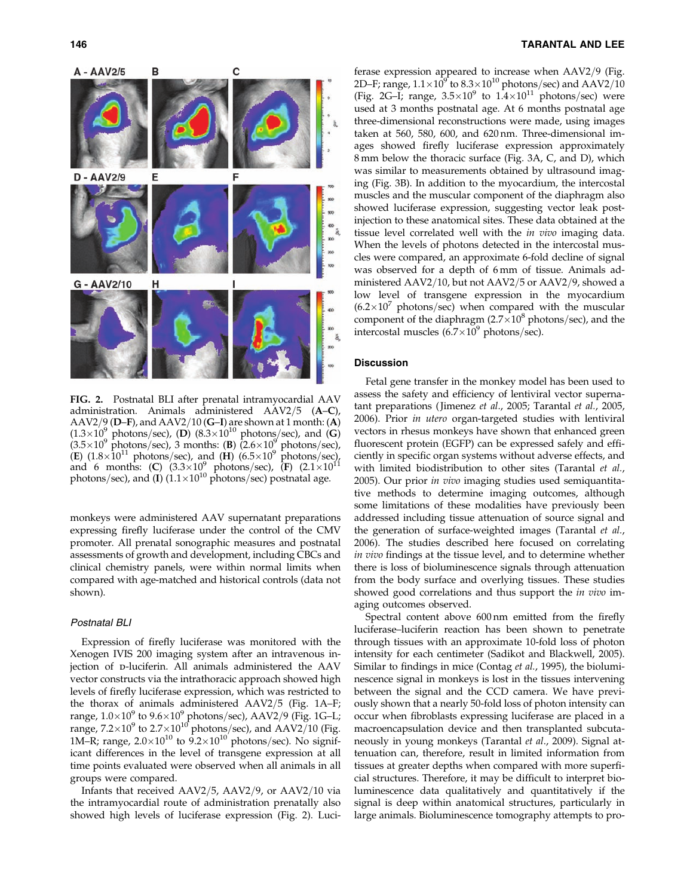

FIG. 2. Postnatal BLI after prenatal intramyocardial AAV administration. Animals administered  $AAV2/5$   $(A-C)$ , AAV2/9 (D–F), and AAV2/10 (G–I) are shown at 1 month: (A)  $(1.3\times10^9 \text{ photons/sec})$ , (D)  $(8.3\times10^{10} \text{ photons/sec})$ , and (G)  $(3.5\times10^9 \text{ photons/sec})$ , 3 months: (B)  $(2.6\times10^9 \text{ photons/sec})$ , (E)  $(1.8\times10^{11} \text{ photons/sec})$ , and  $(H)$   $(6.5\times10^{9} \text{ photons/sec})$ , and 6 months: (C)  $(3.3 \times 10^{9} \text{ photons/sec})$ , (F)  $(2.1 \times 10^{11} \text{ s})$ photons/sec), and (I)  $(1.1\times10^{10} \text{ photons/sec})$  postnatal age.

monkeys were administered AAV supernatant preparations expressing firefly luciferase under the control of the CMV promoter. All prenatal sonographic measures and postnatal assessments of growth and development, including CBCs and clinical chemistry panels, were within normal limits when compared with age-matched and historical controls (data not shown).

# Postnatal BLI

Expression of firefly luciferase was monitored with the Xenogen IVIS 200 imaging system after an intravenous injection of p-luciferin. All animals administered the AAV vector constructs via the intrathoracic approach showed high levels of firefly luciferase expression, which was restricted to the thorax of animals administered  $AAV2/5$  (Fig. 1A–F; range,  $1.0\times10^9$  to  $9.6\times10^9$  photons/sec), AAV2/9 (Fig. 1G–L; range, 7.2 $\times10^9$  to 2.7 $\times10^{10}$  photons/sec), and AAV2/10 (Fig. 1M–R; range,  $2.0\times10^{10}$  to  $9.2\times10^{10}$  photons/sec). No significant differences in the level of transgene expression at all time points evaluated were observed when all animals in all groups were compared.

Infants that received  $AAV2/5$ ,  $AAV2/9$ , or  $AAV2/10$  via the intramyocardial route of administration prenatally also showed high levels of luciferase expression (Fig. 2). Luciferase expression appeared to increase when  $AAV2/9$  (Fig. 2D–F; range,  $1.1\times10^9$  to  $8.3\times10^{10}$  photons/sec) and AAV2/10 (Fig. 2G–I; range,  $3.5 \times 10^9$  to  $1.4 \times 10^{11}$  photons/sec) were used at 3 months postnatal age. At 6 months postnatal age three-dimensional reconstructions were made, using images taken at 560, 580, 600, and 620 nm. Three-dimensional images showed firefly luciferase expression approximately 8 mm below the thoracic surface (Fig. 3A, C, and D), which was similar to measurements obtained by ultrasound imaging (Fig. 3B). In addition to the myocardium, the intercostal muscles and the muscular component of the diaphragm also showed luciferase expression, suggesting vector leak postinjection to these anatomical sites. These data obtained at the tissue level correlated well with the in vivo imaging data. When the levels of photons detected in the intercostal muscles were compared, an approximate 6-fold decline of signal was observed for a depth of 6 mm of tissue. Animals administered  $AAV2/10$ , but not  $AAV2/5$  or  $AAV2/9$ , showed a low level of transgene expression in the myocardium  $(6.2\times10^{7}$  photons/sec) when compared with the muscular component of the diaphragm  $(2.7\times10^8 \text{ photons/sec})$ , and the intercostal muscles  $(6.7\times10^9 \text{ photons/sec}).$ 

#### **Discussion**

Fetal gene transfer in the monkey model has been used to assess the safety and efficiency of lentiviral vector supernatant preparations ( Jimenez et al., 2005; Tarantal et al., 2005, 2006). Prior in utero organ-targeted studies with lentiviral vectors in rhesus monkeys have shown that enhanced green fluorescent protein (EGFP) can be expressed safely and efficiently in specific organ systems without adverse effects, and with limited biodistribution to other sites (Tarantal et al., 2005). Our prior in vivo imaging studies used semiquantitative methods to determine imaging outcomes, although some limitations of these modalities have previously been addressed including tissue attenuation of source signal and the generation of surface-weighted images (Tarantal et al., 2006). The studies described here focused on correlating in vivo findings at the tissue level, and to determine whether there is loss of bioluminescence signals through attenuation from the body surface and overlying tissues. These studies showed good correlations and thus support the *in vivo* imaging outcomes observed.

Spectral content above 600 nm emitted from the firefly luciferase–luciferin reaction has been shown to penetrate through tissues with an approximate 10-fold loss of photon intensity for each centimeter (Sadikot and Blackwell, 2005). Similar to findings in mice (Contag et al., 1995), the bioluminescence signal in monkeys is lost in the tissues intervening between the signal and the CCD camera. We have previously shown that a nearly 50-fold loss of photon intensity can occur when fibroblasts expressing luciferase are placed in a macroencapsulation device and then transplanted subcutaneously in young monkeys (Tarantal et al., 2009). Signal attenuation can, therefore, result in limited information from tissues at greater depths when compared with more superficial structures. Therefore, it may be difficult to interpret bioluminescence data qualitatively and quantitatively if the signal is deep within anatomical structures, particularly in large animals. Bioluminescence tomography attempts to pro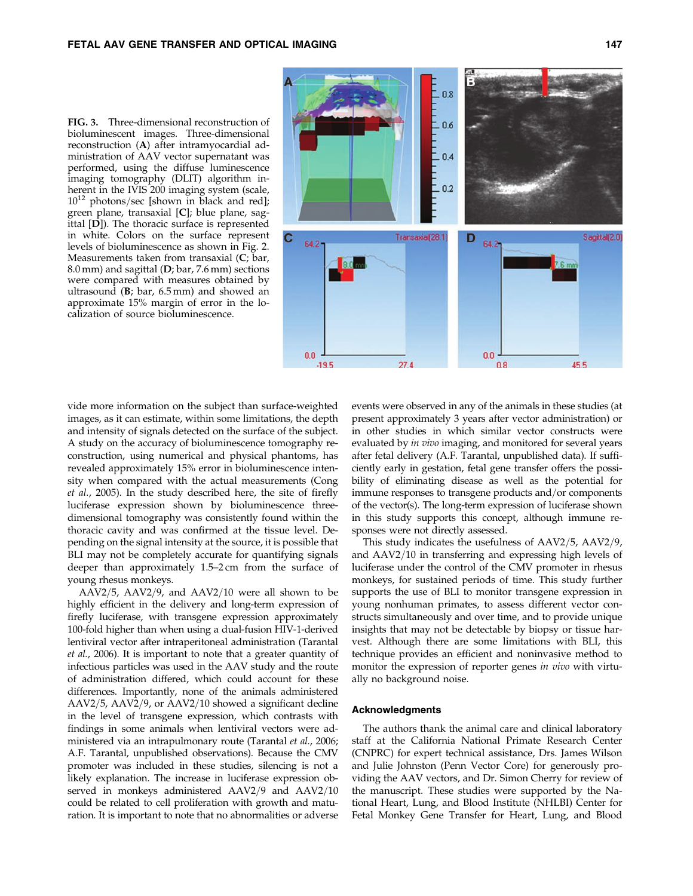FIG. 3. Three-dimensional reconstruction of bioluminescent images. Three-dimensional reconstruction (A) after intramyocardial administration of AAV vector supernatant was performed, using the diffuse luminescence imaging tomography (DLIT) algorithm inherent in the IVIS 200 imaging system (scale,  $10^{12}$  photons/sec [shown in black and red]; green plane, transaxial [C]; blue plane, sagittal [D]). The thoracic surface is represented in white. Colors on the surface represent levels of bioluminescence as shown in Fig. 2. Measurements taken from transaxial (C; bar, 8.0 mm) and sagittal (D; bar, 7.6 mm) sections were compared with measures obtained by ultrasound  $(B; bar, 6.5 mm)$  and showed an approximate 15% margin of error in the localization of source bioluminescence.



vide more information on the subject than surface-weighted images, as it can estimate, within some limitations, the depth and intensity of signals detected on the surface of the subject. A study on the accuracy of bioluminescence tomography reconstruction, using numerical and physical phantoms, has revealed approximately 15% error in bioluminescence intensity when compared with the actual measurements (Cong et al., 2005). In the study described here, the site of firefly luciferase expression shown by bioluminescence threedimensional tomography was consistently found within the thoracic cavity and was confirmed at the tissue level. Depending on the signal intensity at the source, it is possible that BLI may not be completely accurate for quantifying signals deeper than approximately 1.5–2 cm from the surface of young rhesus monkeys.

AAV2/5, AAV2/9, and AAV2/10 were all shown to be highly efficient in the delivery and long-term expression of firefly luciferase, with transgene expression approximately 100-fold higher than when using a dual-fusion HIV-1-derived lentiviral vector after intraperitoneal administration (Tarantal et al., 2006). It is important to note that a greater quantity of infectious particles was used in the AAV study and the route of administration differed, which could account for these differences. Importantly, none of the animals administered AAV2/5, AAV2/9, or AAV2/10 showed a significant decline in the level of transgene expression, which contrasts with findings in some animals when lentiviral vectors were administered via an intrapulmonary route (Tarantal et al., 2006; A.F. Tarantal, unpublished observations). Because the CMV promoter was included in these studies, silencing is not a likely explanation. The increase in luciferase expression observed in monkeys administered  $AAV2/9$  and  $AAV2/10$ could be related to cell proliferation with growth and maturation. It is important to note that no abnormalities or adverse events were observed in any of the animals in these studies (at present approximately 3 years after vector administration) or in other studies in which similar vector constructs were evaluated by *in vivo* imaging, and monitored for several years after fetal delivery (A.F. Tarantal, unpublished data). If sufficiently early in gestation, fetal gene transfer offers the possibility of eliminating disease as well as the potential for immune responses to transgene products and/or components of the vector(s). The long-term expression of luciferase shown in this study supports this concept, although immune responses were not directly assessed.

This study indicates the usefulness of  $AAV2/5$ ,  $AAV2/9$ , and AAV2/10 in transferring and expressing high levels of luciferase under the control of the CMV promoter in rhesus monkeys, for sustained periods of time. This study further supports the use of BLI to monitor transgene expression in young nonhuman primates, to assess different vector constructs simultaneously and over time, and to provide unique insights that may not be detectable by biopsy or tissue harvest. Although there are some limitations with BLI, this technique provides an efficient and noninvasive method to monitor the expression of reporter genes in vivo with virtually no background noise.

#### Acknowledgments

The authors thank the animal care and clinical laboratory staff at the California National Primate Research Center (CNPRC) for expert technical assistance, Drs. James Wilson and Julie Johnston (Penn Vector Core) for generously providing the AAV vectors, and Dr. Simon Cherry for review of the manuscript. These studies were supported by the National Heart, Lung, and Blood Institute (NHLBI) Center for Fetal Monkey Gene Transfer for Heart, Lung, and Blood